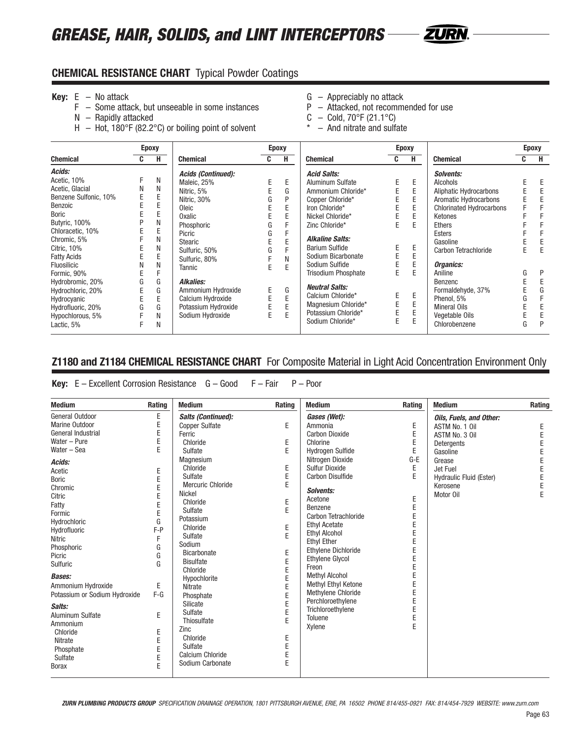# *GREASE, HAIR, SOLIDS, and LINT INTERCEPTORS*



### **CHEMICAL RESISTANCE CHART** Typical Powder Coatings

- 
- **Key:** E No attack **Conserved Exercise 1 and Conserved Conserved Conserved Conserved Conserved Conserved Conserved F Some attack, but unseeable in some instances <b>G** Attacked, not recommended for use  $F -$  Some attack, but unseeable in some instances
	- $N -$  Rapidly attacked  $C -$  Cold, 70°F (21.1°C)
	- H Hot, 180°F (82.2°C) or boiling point of solvent  $* -$  And nitrate and sulfate
- 
- 
- -

|                       | <b>Epoxy</b> |   |                           |    | <b>Epoxy</b> |                            | <b>Epoxy</b> |   |                                 | <b>Epoxy</b> |   |
|-----------------------|--------------|---|---------------------------|----|--------------|----------------------------|--------------|---|---------------------------------|--------------|---|
| <b>Chemical</b>       | C.           | н | <b>Chemical</b>           | C. | н            | <b>Chemical</b>            | C.           | н | <b>Chemical</b>                 | C            | н |
| Acids:                |              |   | <b>Acids (Continued):</b> |    |              | <b>Acid Salts:</b>         |              |   | Solvents:                       |              |   |
| Acetic, 10%           |              | N | Maleic, 25%               | E  | Ε            | Aluminum Sulfate           | E.           | Ε | Alcohols                        |              |   |
| Acetic, Glacial       | N            | N | Nitric, 5%                |    | G            | Ammonium Chloride*         |              | E | Aliphatic Hydrocarbons          |              |   |
| Benzene Sulfonic, 10% |              | E | Nitric, 30%               | G  | P            | Copper Chloride*           | E            | E | Aromatic Hydrocarbons           |              |   |
| Benzoic               |              | E | Oleic                     |    | E            | Iron Chloride*             | E            | E | <b>Chlorinated Hydrocarbons</b> |              |   |
| <b>Boric</b>          |              | E | Oxalic                    |    | E            | Nickel Chloride*           | E            | E | Ketones                         |              |   |
| Butyric, 100%         |              | N | Phosphoric                | G  |              | Zinc Chloride*             | E            | E | <b>Ethers</b>                   |              |   |
| Chloracetic, 10%      |              | E | Picric                    | G  |              |                            |              |   | Esters                          |              |   |
| Chromic, 5%           |              | Ν | Stearic                   |    | E            | <b>Alkaline Salts:</b>     |              |   | Gasoline                        |              |   |
| Citric, 10%           |              | N | Sulfuric, 50%             | G  |              | <b>Barium Sulfide</b>      | Ε            | Ε | Carbon Tetrachloride            | E            | E |
| <b>Fatty Acids</b>    |              | E | Sulfuric, 80%             |    | N            | Sodium Bicarbonate         | E            | E |                                 |              |   |
| <b>Fluosilicic</b>    |              | Ν | Tannic                    | E  | E            | Sodium Sulfide             | E            | E | Organics:                       |              |   |
| Formic, 90%           |              |   |                           |    |              | <b>Trisodium Phosphate</b> | E.           | E | Aniline                         | G            | P |
| Hydrobromic, 20%      | G            | G | <b>Alkalies:</b>          |    |              |                            |              |   | Benzenc                         |              |   |
| Hydrochloric, 20%     |              | G | Ammonium Hydroxide        | E  | G            | <b>Neutral Salts:</b>      |              |   | Formaldehyde, 37%               |              | G |
| Hydrocyanic           |              | E | Calcium Hydroxide         |    | E            | Calcium Chloride*          | E            | Ε | Phenol. 5%                      | G            |   |
| Hydrofluoric, 20%     | G            | G | Potassium Hydroxide       |    | E            | Magnesium Chloride*        | E            | E | Mineral Oils                    |              |   |
| Hypochlorous, 5%      |              | Ν | Sodium Hydroxide          | E  | E            | Potassium Chloride*        | E            | E | Vegetable Oils                  |              |   |
| Lactic, 5%            |              | N |                           |    |              | Sodium Chloride*           | E            | E | Chlorobenzene                   | G            | Þ |

## **Z1180 and Z1184 CHEMICAL RESISTANCE CHART** For Composite Material in Light Acid Concentration Environment Only

#### **Key:** E – Excellent Corrosion Resistance G – Good F – Fair P – Poor

| <b>Medium</b>                 | Rating  | <b>Medium</b>             | Rating | <b>Medium</b>              | Rating | <b>Medium</b>           | Rating |
|-------------------------------|---------|---------------------------|--------|----------------------------|--------|-------------------------|--------|
| General Outdoor               | Ε       | <b>Salts (Continued):</b> |        | Gases (Wet):               |        | Oils, Fuels, and Other: |        |
| Marine Outdoor                | E       | <b>Copper Sulfate</b>     | E      | Ammonia                    | Ε      | ASTM No. 1 Oil          | Ε      |
| General Industrial            | E       | Ferric                    |        | <b>Carbon Dioxide</b>      | E      | ASTM No. 3 Oil          | E      |
| Water - Pure                  | E       | Chloride                  | E      | Chlorine                   | E      | Detergents              |        |
| Water - Sea                   | E       | Sulfate                   | E      | <b>Hydrogen Sulfide</b>    | E      | Gasoline                |        |
| Acids:                        |         | Magnesium                 |        | Nitrogen Dioxide           | $G-E$  | Grease                  | E      |
| Acetic                        | Ε       | Chloride                  | E      | <b>Sulfur Dioxide</b>      | E      | Jet Fuel                | E      |
| <b>Boric</b>                  | E       | Sulfate                   | E      | <b>Carbon Disulfide</b>    | E      | Hydraulic Fluid (Ester) | E      |
| Chromic                       | E       | Mercuric Chloride         | E      |                            |        | Kerosene                | E      |
| Citric                        | E       | <b>Nickel</b>             |        | Solvents:                  |        | Motor Oil               | E      |
| Fatty                         | E       | Chloride                  | E      | Acetone                    | E      |                         |        |
| Formic                        | E       | Sulfate                   | E      | Benzene                    | E      |                         |        |
| Hydrochloric                  | G       | Potassium                 |        | Carbon Tetrachloride       | E      |                         |        |
| Hydrofluoric                  | $F - P$ | Chloride                  | E      | <b>Ethyl Acetate</b>       |        |                         |        |
| <b>Nitric</b>                 | F       | Sulfate                   | E      | <b>Ethyl Alcohol</b>       |        |                         |        |
| Phosphoric                    | G       | Sodium                    |        | <b>Ethyl Ether</b>         |        |                         |        |
| Picric                        | G       | <b>Bicarbonate</b>        | E      | <b>Ethylene Dichloride</b> | E      |                         |        |
| Sulfuric                      | G       | <b>Bisulfate</b>          | E      | <b>Ethylene Glycol</b>     | E      |                         |        |
|                               |         | Chloride                  | E      | Freon                      |        |                         |        |
| <b>Bases:</b>                 |         | Hypochlorite              |        | <b>Methyl Alcohol</b>      |        |                         |        |
| Ammonium Hydroxide            | E       | <b>Nitrate</b>            |        | Methyl Ethyl Ketone        | E      |                         |        |
| Potassium or Sodium Hydroxide | $F-G$   | Phosphate                 | E      | Methylene Chloride         | E      |                         |        |
| Salts:                        |         | Silicate                  | E      | Perchloroethylene          |        |                         |        |
| Aluminum Sulfate              | E       | Sulfate                   | E      | Trichloroethylene          | E      |                         |        |
| Ammonium                      |         | Thiosulfate               | E      | Toluene                    | E      |                         |        |
| Chloride                      | Ε       | Zinc                      |        | Xylene                     | E      |                         |        |
| Nitrate                       | E       | Chloride                  | E      |                            |        |                         |        |
| Phosphate                     | E       | Sulfate                   | E      |                            |        |                         |        |
| Sulfate                       | E       | Calcium Chloride          | E      |                            |        |                         |        |
| <b>Borax</b>                  | E       | Sodium Carbonate          | E      |                            |        |                         |        |